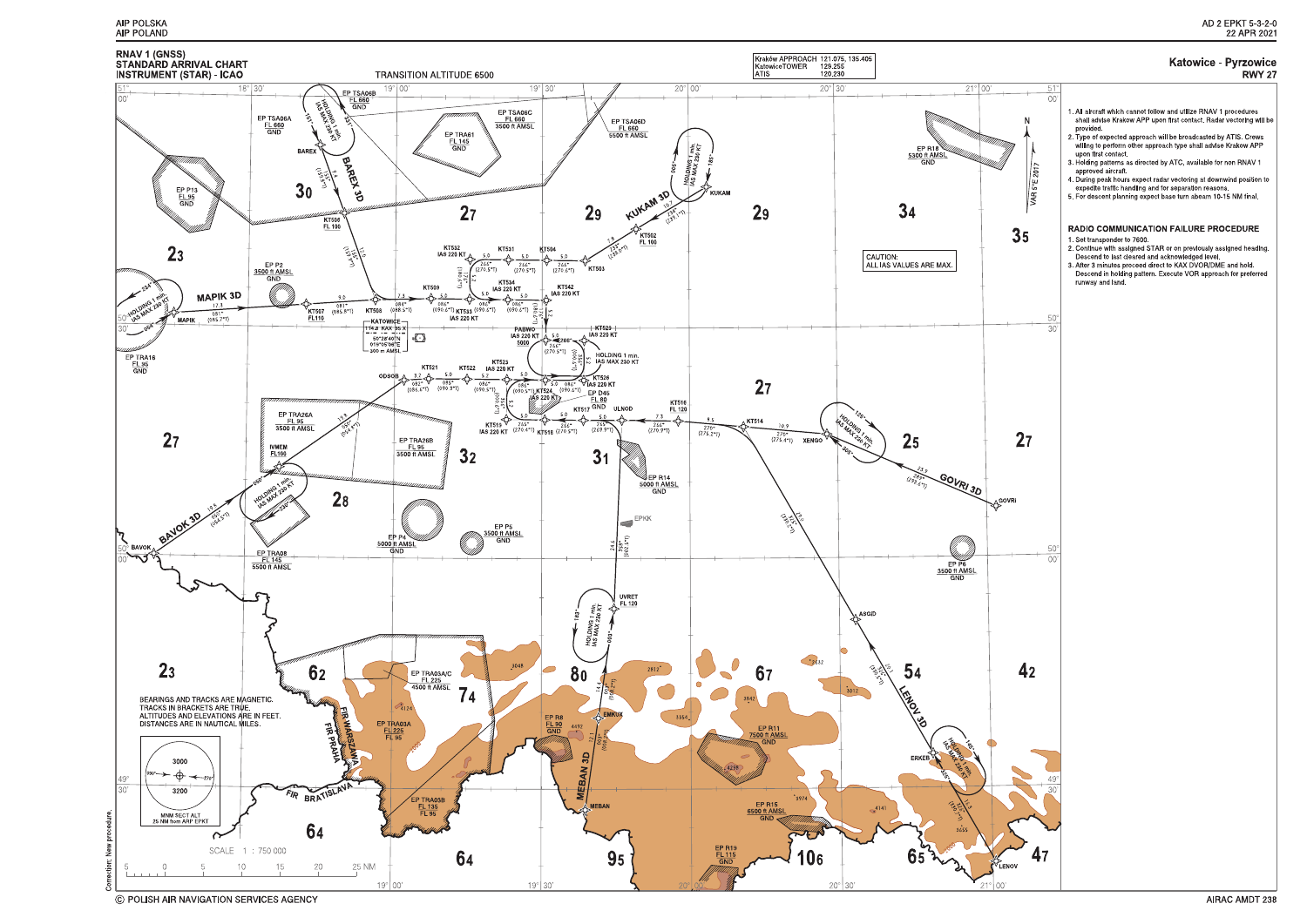

C POLISH AIR NAVIGATION SERVICES AGENCY

#### **Katowice - Pyrzowice RWY 27**

 $\Omega$ 1. All aircraft which cannot follow and utilize RNAV 1 procedures shall advise Krakow APP upon first contact. Radar vectoring will be provided. provided.<br>2. Type of expected approach will be broadcasted by ATIS. Crews<br>willing to perform other approach type shall advise Krakow APP upon first contact 3. Holding patterns as directed by ATC, available for non RNAV 1 approved aircraft **VAR 5°E 201** 4. During peak hours expect radar vectoring at downwind position to expedite traffic handling and for separation reasons. 5. For descent planning expect base turn abeam 10-15 NM final. **RADIO COMMUNICATION FAILURE PROCEDURE** 35 1. Set transponder to 7600. 1. Set u ansponder to 7000.<br>2. Continue with assigned STAR or on previously assigned heading.<br>Descend to last cleared and acknowledged level. 3. After 3 minutes proceed direct to KAX DVOR/DME and hold. Descend in holding pattern. Execute VOR approach for preferred runway and land. 50  $\overline{30}$  $27$ LOOVRI  $\cap$  $4<sub>2</sub>$ 47 LENOV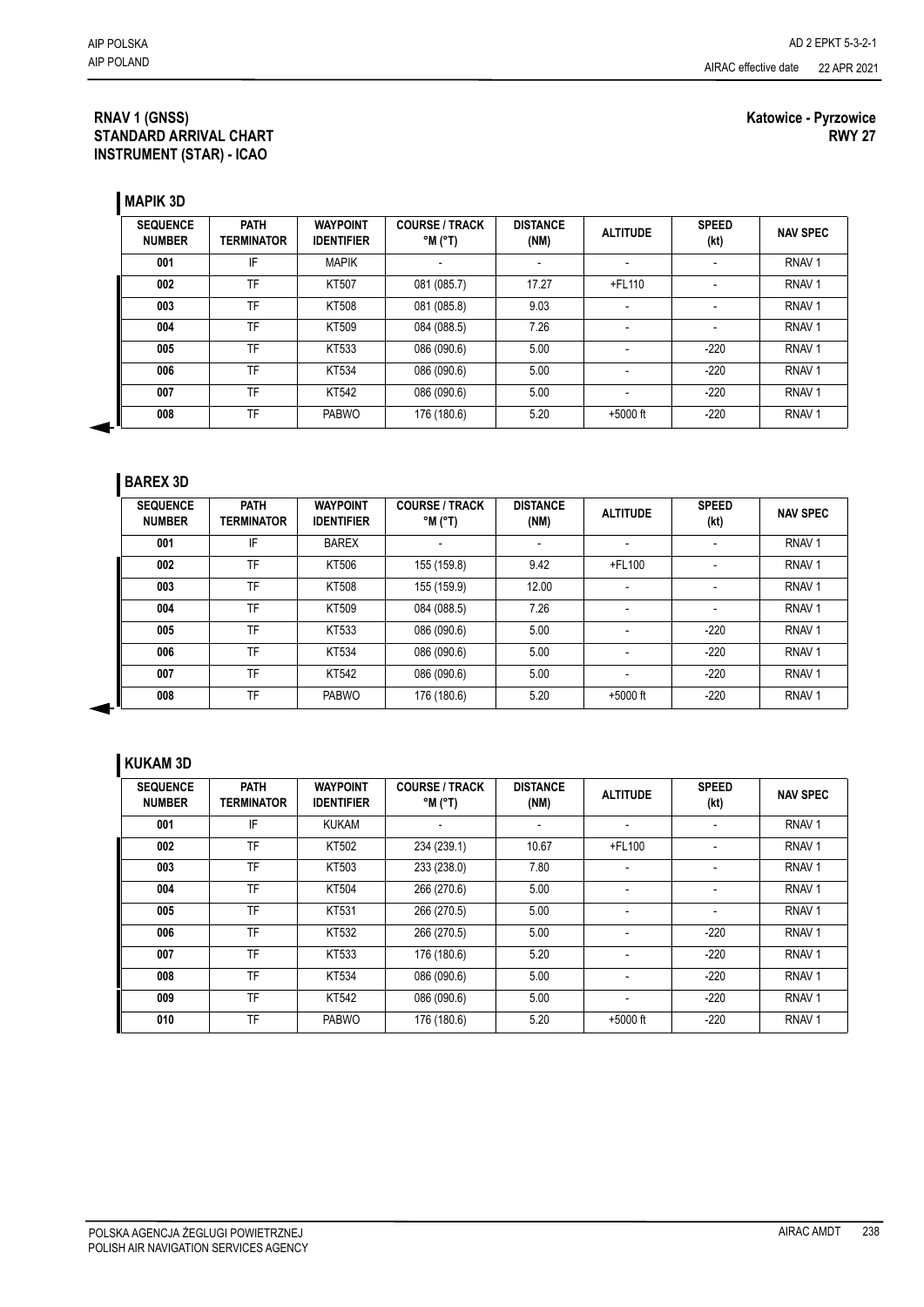#### **RNAV 1 (GNSS) STANDARD ARRIVAL CHART INSTRUMENT (STAR) - ICAO**

#### **Katowice - Pyrzowice RWY 27**

**MAPIK 3D**

| <b>SEQUENCE</b><br><b>NUMBER</b> | <b>PATH</b><br><b>TERMINATOR</b> | <b>WAYPOINT</b><br><b>IDENTIFIER</b> | <b>COURSE / TRACK</b><br>$(T^{\circ})$ M $^{\circ}$ | <b>DISTANCE</b><br>(NM) | <b>ALTITUDE</b>          | <b>SPEED</b><br>(kt) | <b>NAV SPEC</b>   |
|----------------------------------|----------------------------------|--------------------------------------|-----------------------------------------------------|-------------------------|--------------------------|----------------------|-------------------|
| 001                              | IF                               | <b>MAPIK</b>                         |                                                     |                         |                          |                      | RNAV <sub>1</sub> |
| 002                              | TF                               | KT507                                | 081 (085.7)                                         | 17.27                   | +FL110                   |                      | RNAV <sub>1</sub> |
| 003                              | TF                               | KT508                                | 081 (085.8)                                         | 9.03                    |                          |                      | RNAV <sub>1</sub> |
| 004                              | TF                               | KT509                                | 084 (088.5)                                         | 7.26                    |                          |                      | RNAV <sub>1</sub> |
| 005                              | TF                               | KT533                                | 086 (090.6)                                         | 5.00                    |                          | $-220$               | RNAV <sub>1</sub> |
| 006                              | TF                               | KT534                                | 086 (090.6)                                         | 5.00                    |                          | $-220$               | RNAV <sub>1</sub> |
| 007                              | TF                               | KT542                                | 086 (090.6)                                         | 5.00                    | $\overline{\phantom{a}}$ | $-220$               | RNAV <sub>1</sub> |
| 008                              | TF                               | <b>PABWO</b>                         | 176 (180.6)                                         | 5.20                    | $+5000$ ft               | $-220$               | RNAV <sub>1</sub> |

#### **BAREX 3D**

4

| <b>SEQUENCE</b><br><b>NUMBER</b> | <b>PATH</b><br><b>TERMINATOR</b> | <b>WAYPOINT</b><br><b>IDENTIFIER</b> | <b>COURSE / TRACK</b><br>$^{\circ}$ M $^{\circ}$ T) | <b>DISTANCE</b><br>(NM)  | <b>ALTITUDE</b>          | <b>SPEED</b><br>(kt) | <b>NAV SPEC</b>   |
|----------------------------------|----------------------------------|--------------------------------------|-----------------------------------------------------|--------------------------|--------------------------|----------------------|-------------------|
| 001                              | IF                               | <b>BAREX</b>                         |                                                     | $\overline{\phantom{a}}$ | $\overline{\phantom{a}}$ |                      | RNAV <sub>1</sub> |
| 002                              | TF                               | KT506                                | 155 (159.8)                                         | 9.42                     | $+$ FL100                |                      | RNAV <sub>1</sub> |
| 003                              | TF                               | KT508                                | 155 (159.9)                                         | 12.00                    |                          |                      | RNAV <sub>1</sub> |
| 004                              | TF                               | KT509                                | 084 (088.5)                                         | 7.26                     |                          |                      | RNAV <sub>1</sub> |
| 005                              | TF                               | KT533                                | 086 (090.6)                                         | 5.00                     | $\overline{\phantom{a}}$ | $-220$               | RNAV <sub>1</sub> |
| 006                              | TF                               | KT534                                | 086 (090.6)                                         | 5.00                     |                          | $-220$               | RNAV <sub>1</sub> |
| 007                              | TF                               | KT542                                | 086 (090.6)                                         | 5.00                     | $\overline{\phantom{a}}$ | $-220$               | RNAV <sub>1</sub> |
| 008                              | TF                               | <b>PABWO</b>                         | 176 (180.6)                                         | 5.20                     | $+5000$ ft               | $-220$               | RNAV <sub>1</sub> |

## **KUKAM 3D**

| <b>SEQUENCE</b><br><b>NUMBER</b> | <b>PATH</b><br>TERMINATOR | <b>WAYPOINT</b><br><b>IDENTIFIER</b> | <b>COURSE / TRACK</b><br>$^{\circ}$ M $^{\circ}$ T) | <b>DISTANCE</b><br>(NM) | <b>ALTITUDE</b>          | <b>SPEED</b><br>(kt)     | <b>NAV SPEC</b>   |
|----------------------------------|---------------------------|--------------------------------------|-----------------------------------------------------|-------------------------|--------------------------|--------------------------|-------------------|
| 001                              | IF                        | <b>KUKAM</b>                         |                                                     |                         | $\overline{\phantom{0}}$ |                          | RNAV <sub>1</sub> |
| 002                              | TF                        | KT502                                | 234 (239.1)                                         | 10.67                   | +FL100                   | $\overline{\phantom{0}}$ | RNAV <sub>1</sub> |
| 003                              | TF                        | KT503                                | 233 (238.0)                                         | 7.80                    | ٠                        |                          | RNAV <sub>1</sub> |
| 004                              | TF                        | KT504                                | 266 (270.6)                                         | 5.00                    |                          |                          | RNAV <sub>1</sub> |
| 005                              | TF                        | KT531                                | 266 (270.5)                                         | 5.00                    |                          |                          | RNAV <sub>1</sub> |
| 006                              | TF                        | KT532                                | 266 (270.5)                                         | 5.00                    |                          | $-220$                   | RNAV <sub>1</sub> |
| 007                              | TF                        | KT533                                | 176 (180.6)                                         | 5.20                    | $\overline{\phantom{0}}$ | $-220$                   | RNAV <sub>1</sub> |
| 008                              | TF                        | KT534                                | 086 (090.6)                                         | 5.00                    |                          | $-220$                   | RNAV <sub>1</sub> |
| 009                              | TF                        | KT542                                | 086 (090.6)                                         | 5.00                    | ٠                        | $-220$                   | RNAV <sub>1</sub> |
| 010                              | TF                        | <b>PABWO</b>                         | 176 (180.6)                                         | 5.20                    | $+5000$ ft               | $-220$                   | RNAV <sub>1</sub> |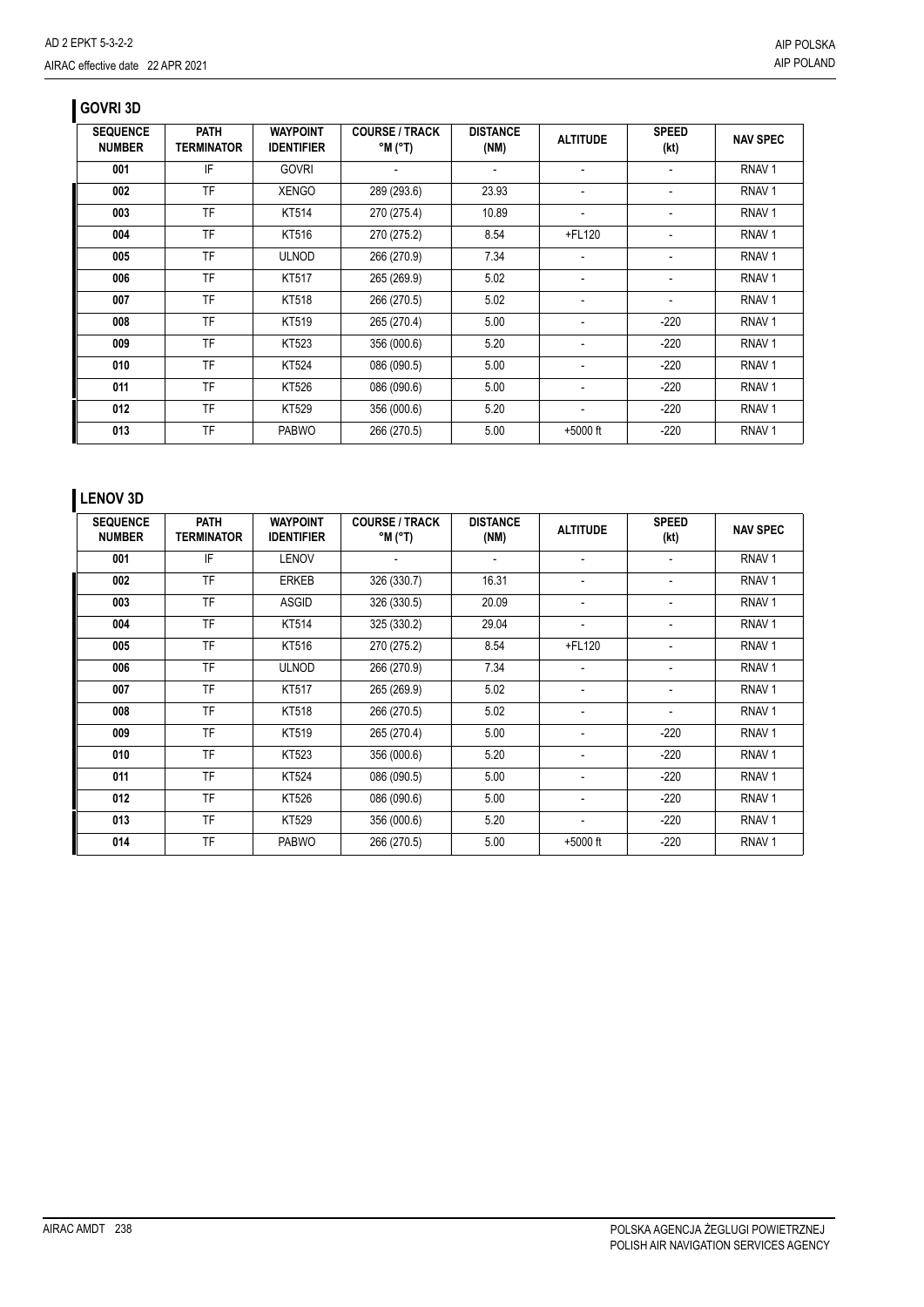## **GOVRI 3D**

| <b>SEQUENCE</b><br><b>NUMBER</b> | <b>PATH</b><br>TERMINATOR | <b>WAYPOINT</b><br><b>IDENTIFIER</b> | <b>COURSE / TRACK</b><br>$^{\circ}$ M $^{\circ}$ T) | <b>DISTANCE</b><br>(NM) | <b>ALTITUDE</b>          | <b>SPEED</b><br>(kt)     | <b>NAV SPEC</b>   |
|----------------------------------|---------------------------|--------------------------------------|-----------------------------------------------------|-------------------------|--------------------------|--------------------------|-------------------|
| 001                              | IF                        | <b>GOVRI</b>                         |                                                     |                         |                          |                          | RNAV <sub>1</sub> |
| 002                              | TF                        | <b>XENGO</b>                         | 289 (293.6)                                         | 23.93                   | -                        | $\overline{\phantom{0}}$ | RNAV <sub>1</sub> |
| 003                              | TF                        | KT514                                | 270 (275.4)                                         | 10.89                   | -                        |                          | RNAV <sub>1</sub> |
| 004                              | <b>TF</b>                 | KT516                                | 270 (275.2)                                         | 8.54                    | +FL120                   | $\overline{\phantom{a}}$ | RNAV <sub>1</sub> |
| 005                              | TF                        | <b>ULNOD</b>                         | 266 (270.9)                                         | 7.34                    | $\blacksquare$           | $\overline{\phantom{0}}$ | RNAV <sub>1</sub> |
| 006                              | <b>TF</b>                 | KT517                                | 265 (269.9)                                         | 5.02                    | $\overline{\phantom{a}}$ | $\overline{\phantom{0}}$ | RNAV <sub>1</sub> |
| 007                              | TF                        | KT518                                | 266 (270.5)                                         | 5.02                    | -                        | $\overline{\phantom{0}}$ | RNAV <sub>1</sub> |
| 008                              | <b>TF</b>                 | KT519                                | 265 (270.4)                                         | 5.00                    | -                        | $-220$                   | RNAV <sub>1</sub> |
| 009                              | <b>TF</b>                 | KT523                                | 356 (000.6)                                         | 5.20                    | -                        | $-220$                   | RNAV <sub>1</sub> |
| 010                              | <b>TF</b>                 | KT524                                | 086 (090.5)                                         | 5.00                    | -                        | $-220$                   | RNAV <sub>1</sub> |
| 011                              | TF                        | KT526                                | 086 (090.6)                                         | 5.00                    | -                        | $-220$                   | RNAV <sub>1</sub> |
| 012                              | TF                        | KT529                                | 356 (000.6)                                         | 5.20                    |                          | $-220$                   | RNAV <sub>1</sub> |
| 013                              | TF                        | <b>PABWO</b>                         | 266 (270.5)                                         | 5.00                    | $+5000$ ft               | $-220$                   | RNAV <sub>1</sub> |

## **LENOV 3D**

| <b>SEQUENCE</b><br><b>NUMBER</b> | <b>PATH</b><br><b>TERMINATOR</b> | <b>WAYPOINT</b><br><b>IDENTIFIER</b> | <b>COURSE / TRACK</b><br>°M (°T) | <b>DISTANCE</b><br>(NM)  | <b>ALTITUDE</b>          | <b>SPEED</b><br>(kt)     | <b>NAV SPEC</b>   |
|----------------------------------|----------------------------------|--------------------------------------|----------------------------------|--------------------------|--------------------------|--------------------------|-------------------|
| 001                              | IF                               | <b>LENOV</b>                         |                                  | $\overline{\phantom{0}}$ | $\blacksquare$           | $\overline{\phantom{a}}$ | RNAV <sub>1</sub> |
| 002                              | <b>TF</b>                        | <b>ERKEB</b>                         | 326 (330.7)                      | 16.31                    |                          |                          | RNAV <sub>1</sub> |
| 003                              | <b>TF</b>                        | <b>ASGID</b>                         | 326 (330.5)                      | 20.09                    |                          |                          | RNAV <sub>1</sub> |
| 004                              | <b>TF</b>                        | KT514                                | 325 (330.2)                      | 29.04                    | $\overline{\phantom{0}}$ |                          | RNAV <sub>1</sub> |
| 005                              | <b>TF</b>                        | KT516                                | 270 (275.2)                      | 8.54                     | +FL120                   |                          | RNAV <sub>1</sub> |
| 006                              | <b>TF</b>                        | <b>ULNOD</b>                         | 266 (270.9)                      | 7.34                     |                          |                          | RNAV <sub>1</sub> |
| 007                              | <b>TF</b>                        | KT517                                | 265 (269.9)                      | 5.02                     |                          |                          | RNAV <sub>1</sub> |
| 008                              | <b>TF</b>                        | KT518                                | 266 (270.5)                      | 5.02                     | $\overline{\phantom{a}}$ |                          | RNAV <sub>1</sub> |
| 009                              | <b>TF</b>                        | KT519                                | 265 (270.4)                      | 5.00                     |                          | $-220$                   | RNAV <sub>1</sub> |
| 010                              | <b>TF</b>                        | KT523                                | 356 (000.6)                      | 5.20                     |                          | $-220$                   | RNAV <sub>1</sub> |
| 011                              | <b>TF</b>                        | KT524                                | 086 (090.5)                      | 5.00                     | $\overline{\phantom{0}}$ | $-220$                   | RNAV <sub>1</sub> |
| 012                              | <b>TF</b>                        | KT526                                | 086 (090.6)                      | 5.00                     | $\overline{\phantom{a}}$ | $-220$                   | RNAV <sub>1</sub> |
| 013                              | <b>TF</b>                        | KT529                                | 356 (000.6)                      | 5.20                     |                          | $-220$                   | RNAV <sub>1</sub> |
| 014                              | <b>TF</b>                        | <b>PABWO</b>                         | 266 (270.5)                      | 5.00                     | $+5000$ ft               | $-220$                   | RNAV <sub>1</sub> |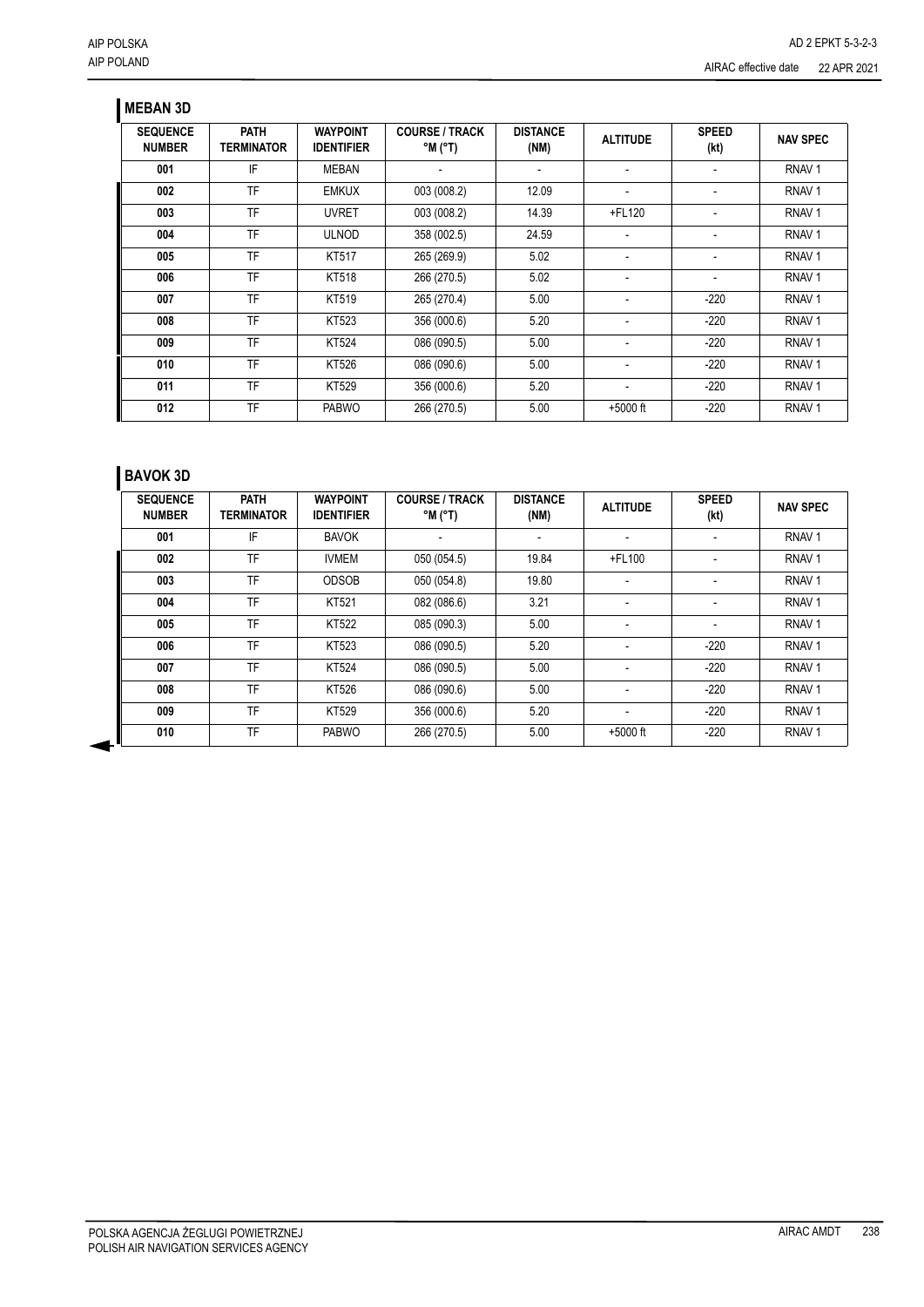## **MEBAN 3D**

| <b>SEQUENCE</b><br><b>NUMBER</b> | <b>PATH</b><br>TERMINATOR | <b>WAYPOINT</b><br><b>IDENTIFIER</b> | <b>COURSE / TRACK</b><br>$^{\circ}$ M ( $^{\circ}$ T) | <b>DISTANCE</b><br>(NM) | <b>ALTITUDE</b> | <b>SPEED</b><br>(kt) | <b>NAV SPEC</b>   |
|----------------------------------|---------------------------|--------------------------------------|-------------------------------------------------------|-------------------------|-----------------|----------------------|-------------------|
| 001                              | IF                        | <b>MEBAN</b>                         |                                                       |                         |                 |                      | RNAV <sub>1</sub> |
| 002                              | <b>TF</b>                 | <b>EMKUX</b>                         | 003 (008.2)                                           | 12.09                   |                 |                      | RNAV <sub>1</sub> |
| 003                              | <b>TF</b>                 | <b>UVRET</b>                         | 003 (008.2)                                           | 14.39                   | +FL120          |                      | RNAV <sub>1</sub> |
| 004                              | <b>TF</b>                 | <b>ULNOD</b>                         | 358 (002.5)                                           | 24.59                   | ٠               |                      | RNAV <sub>1</sub> |
| 005                              | <b>TF</b>                 | KT517                                | 265 (269.9)                                           | 5.02                    |                 |                      | RNAV <sub>1</sub> |
| 006                              | <b>TF</b>                 | KT518                                | 266 (270.5)                                           | 5.02                    | ٠               |                      | RNAV <sub>1</sub> |
| 007                              | <b>TF</b>                 | KT519                                | 265 (270.4)                                           | 5.00                    |                 | $-220$               | RNAV <sub>1</sub> |
| 008                              | <b>TF</b>                 | KT523                                | 356 (000.6)                                           | 5.20                    |                 | $-220$               | RNAV <sub>1</sub> |
| 009                              | <b>TF</b>                 | KT524                                | 086 (090.5)                                           | 5.00                    |                 | $-220$               | RNAV <sub>1</sub> |
| 010                              | <b>TF</b>                 | KT526                                | 086 (090.6)                                           | 5.00                    |                 | $-220$               | RNAV <sub>1</sub> |
| 011                              | <b>TF</b>                 | KT529                                | 356 (000.6)                                           | 5.20                    |                 | $-220$               | RNAV <sub>1</sub> |
| 012                              | TF                        | <b>PABWO</b>                         | 266 (270.5)                                           | 5.00                    | $+5000$ ft      | $-220$               | RNAV <sub>1</sub> |

# **BAVOK 3D**

| <b>SEQUENCE</b><br><b>NUMBER</b> | <b>PATH</b><br><b>TERMINATOR</b> | <b>WAYPOINT</b><br><b>IDENTIFIER</b> | <b>COURSE / TRACK</b><br>$^{\circ}$ M $^{\circ}$ T) | <b>DISTANCE</b><br>(NM) | <b>ALTITUDE</b> | <b>SPEED</b><br>(kt) | <b>NAV SPEC</b>   |
|----------------------------------|----------------------------------|--------------------------------------|-----------------------------------------------------|-------------------------|-----------------|----------------------|-------------------|
| 001                              | IF                               | <b>BAVOK</b>                         |                                                     |                         | ٠               |                      | RNAV <sub>1</sub> |
| 002                              | TF                               | <b>IVMEM</b>                         | 050 (054.5)                                         | 19.84                   | $+$ FL100       | ٠                    | RNAV <sub>1</sub> |
| 003                              | TF                               | <b>ODSOB</b>                         | 050 (054.8)                                         | 19.80                   | ٠               |                      | RNAV <sub>1</sub> |
| 004                              | TF                               | KT521                                | 082 (086.6)                                         | 3.21                    | ٠               |                      | RNAV <sub>1</sub> |
| 005                              | TF                               | <b>KT522</b>                         | 085 (090.3)                                         | 5.00                    | ٠               |                      | RNAV <sub>1</sub> |
| 006                              | TF                               | KT523                                | 086 (090.5)                                         | 5.20                    | ٠               | $-220$               | RNAV <sub>1</sub> |
| 007                              | TF                               | KT524                                | 086 (090.5)                                         | 5.00                    |                 | $-220$               | RNAV <sub>1</sub> |
| 008                              | TF                               | KT526                                | 086 (090.6)                                         | 5.00                    |                 | $-220$               | RNAV <sub>1</sub> |
| 009                              | TF                               | KT529                                | 356 (000.6)                                         | 5.20                    | ٠               | $-220$               | RNAV <sub>1</sub> |
| 010                              | TF                               | <b>PABWO</b>                         | 266 (270.5)                                         | 5.00                    | $+5000$ ft      | $-220$               | RNAV <sub>1</sub> |